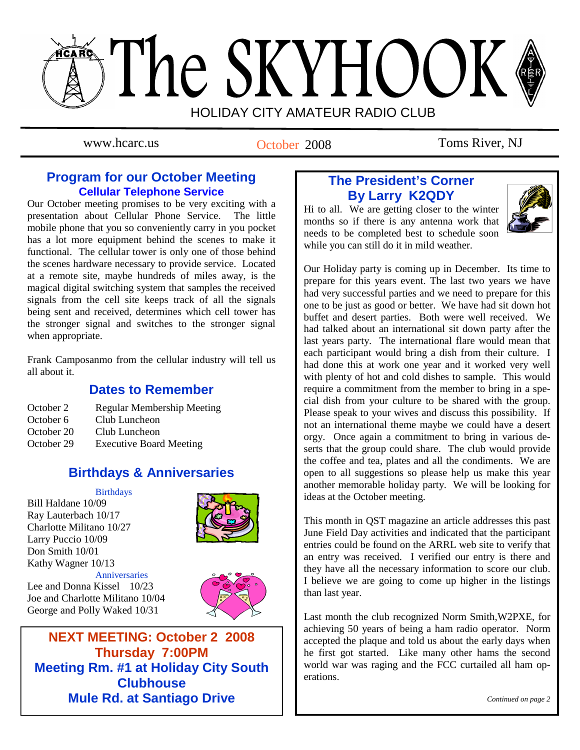# The SKYHOOK HOLIDAY CITY AMATEUR RADIO CLUB

October 2008

www.hcarc.us October 2008 Toms River, NJ

## **Program for our October Meeting Cellular Telephone Service**

Our October meeting promises to be very exciting with a presentation about Cellular Phone Service. The little mobile phone that you so conveniently carry in you pocket has a lot more equipment behind the scenes to make it functional. The cellular tower is only one of those behind the scenes hardware necessary to provide service. Located at a remote site, maybe hundreds of miles away, is the magical digital switching system that samples the received signals from the cell site keeps track of all the signals being sent and received, determines which cell tower has the stronger signal and switches to the stronger signal when appropriate.

Frank Camposanmo from the cellular industry will tell us all about it.

## **Dates to Remember**

| October 2  | <b>Regular Membership Meeting</b> |
|------------|-----------------------------------|
| October 6  | Club Luncheon                     |
| October 20 | Club Luncheon                     |
| October 29 | <b>Executive Board Meeting</b>    |
|            |                                   |

## **Birthdays & Anniversaries**

#### **Birthdays**

Bill Haldane 10/09 Ray Lauterbach 10/17 Charlotte Militano 10/27 Larry Puccio 10/09 Don Smith 10/01 Kathy Wagner 10/13



 Anniversaries Lee and Donna Kissel 10/23 Joe and Charlotte Militano 10/04 George and Polly Waked 10/31



**NEXT MEETING: October 2 2008 Thursday 7:00PM Meeting Rm. #1 at Holiday City South Clubhouse Mule Rd. at Santiago Drive** 

# **The President's Corner By Larry K2QDY**

Hi to all. We are getting closer to the winter months so if there is any antenna work that needs to be completed best to schedule soon while you can still do it in mild weather.



Our Holiday party is coming up in December. Its time to prepare for this years event. The last two years we have had very successful parties and we need to prepare for this one to be just as good or better. We have had sit down hot buffet and desert parties. Both were well received. We had talked about an international sit down party after the last years party. The international flare would mean that each participant would bring a dish from their culture. I had done this at work one year and it worked very well with plenty of hot and cold dishes to sample. This would require a commitment from the member to bring in a special dish from your culture to be shared with the group. Please speak to your wives and discuss this possibility. If not an international theme maybe we could have a desert orgy. Once again a commitment to bring in various deserts that the group could share. The club would provide the coffee and tea, plates and all the condiments. We are open to all suggestions so please help us make this year another memorable holiday party. We will be looking for ideas at the October meeting.

This month in QST magazine an article addresses this past June Field Day activities and indicated that the participant entries could be found on the ARRL web site to verify that an entry was received. I verified our entry is there and they have all the necessary information to score our club. I believe we are going to come up higher in the listings than last year.

Last month the club recognized Norm Smith,W2PXE, for achieving 50 years of being a ham radio operator. Norm accepted the plaque and told us about the early days when he first got started. Like many other hams the second world war was raging and the FCC curtailed all ham operations.

*Continued on page 2*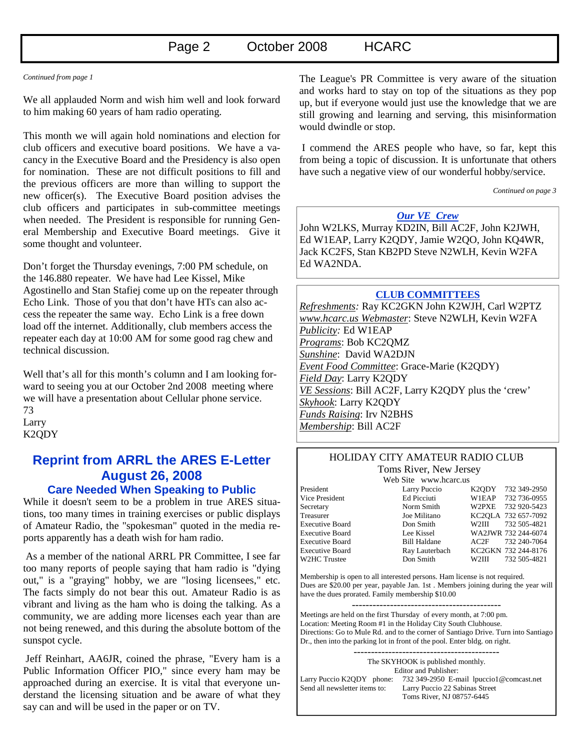#### *Continued from page 1*

We all applauded Norm and wish him well and look forward to him making 60 years of ham radio operating.

This month we will again hold nominations and election for club officers and executive board positions. We have a vacancy in the Executive Board and the Presidency is also open for nomination. These are not difficult positions to fill and the previous officers are more than willing to support the new officer(s). The Executive Board position advises the club officers and participates in sub-committee meetings when needed. The President is responsible for running General Membership and Executive Board meetings. Give it some thought and volunteer.

Don't forget the Thursday evenings, 7:00 PM schedule, on the 146.880 repeater. We have had Lee Kissel, Mike Agostinello and Stan Stafiej come up on the repeater through Echo Link. Those of you that don't have HTs can also access the repeater the same way. Echo Link is a free down load off the internet. Additionally, club members access the repeater each day at 10:00 AM for some good rag chew and technical discussion.

Well that's all for this month's column and I am looking forward to seeing you at our October 2nd 2008 meeting where we will have a presentation about Cellular phone service. 73 Larry K2QDY

# **Reprint from ARRL the ARES E-Letter August 26, 2008**

#### **Care Needed When Speaking to Public**

While it doesn't seem to be a problem in true ARES situations, too many times in training exercises or public displays of Amateur Radio, the "spokesman" quoted in the media reports apparently has a death wish for ham radio.

 As a member of the national ARRL PR Committee, I see far too many reports of people saying that ham radio is "dying out," is a "graying" hobby, we are "losing licensees," etc. The facts simply do not bear this out. Amateur Radio is as vibrant and living as the ham who is doing the talking. As a community, we are adding more licenses each year than are not being renewed, and this during the absolute bottom of the sunspot cycle.

 Jeff Reinhart, AA6JR, coined the phrase, "Every ham is a Public Information Officer PIO," since every ham may be approached during an exercise. It is vital that everyone understand the licensing situation and be aware of what they say can and will be used in the paper or on TV.

The League's PR Committee is very aware of the situation and works hard to stay on top of the situations as they pop up, but if everyone would just use the knowledge that we are still growing and learning and serving, this misinformation would dwindle or stop.

 I commend the ARES people who have, so far, kept this from being a topic of discussion. It is unfortunate that others have such a negative view of our wonderful hobby/service.

 *Continued on page 3* 

## *Our VE Crew*

John W2LKS, Murray KD2IN, Bill AC2F, John K2JWH, Ed W1EAP, Larry K2QDY, Jamie W2QO, John KQ4WR, Jack KC2FS, Stan KB2PD Steve N2WLH, Kevin W2FA Ed WA2NDA.

#### **CLUB COMMITTEES**

*Refreshments:* Ray KC2GKN John K2WJH, Carl W2PTZ *www.hcarc.us Webmaster*: Steve N2WLH, Kevin W2FA *Publicity:* Ed W1EAP *Programs*: Bob KC2QMZ *Sunshine*: David WA2DJN *Event Food Committee*: Grace-Marie (K2QDY) *Field Day*: Larry K2QDY *VE Sessions*: Bill AC2F, Larry K2QDY plus the 'crew' *Skyhook*: Larry K2QDY *Funds Raising*: Irv N2BHS *Membership*: Bill AC2F

#### HOLIDAY CITY AMATEUR RADIO CLUB Toms River, New Jersey

Web Site www.hcarc.us

President Larry Puccio K2QDY 732 349-2950 Vice President Ed Picciuti W1EAP 732 736-0955 Secretary Norm Smith W2PXE 732 920-5423 Treasurer Joe Militano KC2QLA 732 657-7092 Executive Board Don Smith W2III 732 505-4821 Executive Board Lee Kissel WA2JWR 732 244-6074 Executive Board Bill Haldane AC2F 732 240-7064 Executive Board Ray Lauterbach KC2GKN 732 244-8176 W2HC Trustee Don Smith W2III 732 505-4821

Membership is open to all interested persons. Ham license is not required. Dues are \$20.00 per year, payable Jan. 1st . Members joining during the year will have the dues prorated. Family membership \$10.00

Meetings are held on the first Thursday of every month, at 7:00 pm. Location: Meeting Room #1 in the Holiday City South Clubhouse. Directions: Go to Mule Rd. and to the corner of Santiago Drive. Turn into Santiago Dr., then into the parking lot in front of the pool. Enter bldg. on right.

------------------------------------------ The SKYHOOK is published monthly. Editor and Publisher: Larry Puccio K2QDY phone: 732 349-2950 E-mail lpuccio1@comcast.net<br>Send all newsletter items to: Larry Puccio 22 Sabinas Street Larry Puccio 22 Sabinas Street Toms River, NJ 08757-6445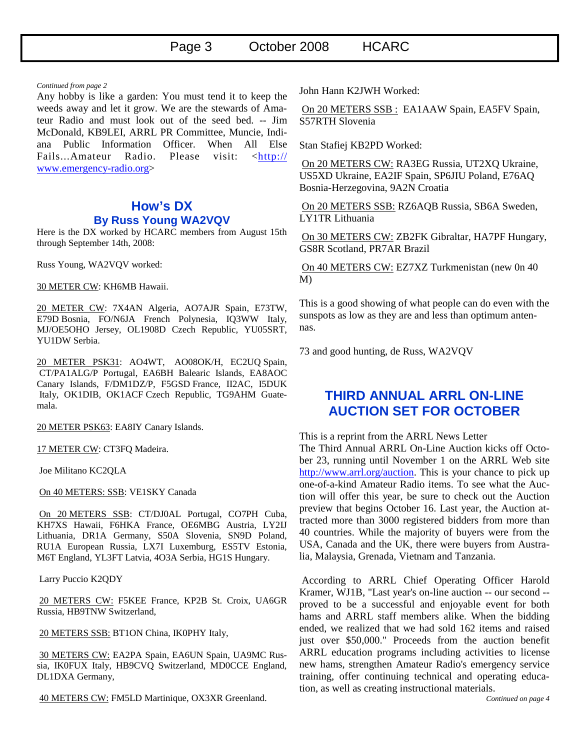#### *Continued from page 2*

Any hobby is like a garden: You must tend it to keep the weeds away and let it grow. We are the stewards of Amateur Radio and must look out of the seed bed. -- Jim McDonald, KB9LEI, ARRL PR Committee, Muncie, Indiana Public Information Officer. When All Else Fails...Amateur Radio. Please visit: <http:// www.emergency-radio.org>

#### **How's DX By Russ Young WA2VQV**

Here is the DX worked by HCARC members from August 15th through September 14th, 2008:

Russ Young, WA2VQV worked:

#### 30 METER CW: KH6MB Hawaii.

20 METER CW: 7X4AN Algeria, AO7AJR Spain, E73TW, E79D Bosnia, FO/N6JA French Polynesia, IQ3WW Italy, MJ/OE5OHO Jersey, OL1908D Czech Republic, YU05SRT, YU1DW Serbia.

20 METER PSK31: AO4WT, AO08OK/H, EC2UQ Spain, CT/PA1ALG/P Portugal, EA6BH Balearic Islands, EA8AOC Canary Islands, F/DM1DZ/P, F5GSD France, II2AC, I5DUK Italy, OK1DIB, OK1ACF Czech Republic, TG9AHM Guatemala.

20 METER PSK63: EA8IY Canary Islands.

17 METER CW: CT3FQ Madeira.

Joe Militano KC2QLA

On 40 METERS: SSB: VE1SKY Canada

 On 20 METERS SSB: CT/DJ0AL Portugal, CO7PH Cuba, KH7XS Hawaii, F6HKA France, OE6MBG Austria, LY2IJ Lithuania, DR1A Germany, S50A Slovenia, SN9D Poland, RU1A European Russia, LX7I Luxemburg, ES5TV Estonia, M6T England, YL3FT Latvia, 4O3A Serbia, HG1S Hungary.

Larry Puccio K2QDY

 20 METERS CW: F5KEE France, KP2B St. Croix, UA6GR Russia, HB9TNW Switzerland,

20 METERS SSB: BT1ON China, IK0PHY Italy,

 30 METERS CW: EA2PA Spain, EA6UN Spain, UA9MC Russia, IK0FUX Italy, HB9CVQ Switzerland, MD0CCE England, DL1DXA Germany,

40 METERS CW: FM5LD Martinique, OX3XR Greenland.

John Hann K2JWH Worked:

 On 20 METERS SSB : EA1AAW Spain, EA5FV Spain, S57RTH Slovenia

Stan Stafiej KB2PD Worked:

 On 20 METERS CW: RA3EG Russia, UT2XQ Ukraine, US5XD Ukraine, EA2IF Spain, SP6JIU Poland, E76AQ Bosnia-Herzegovina, 9A2N Croatia

 On 20 METERS SSB: RZ6AQB Russia, SB6A Sweden, LY1TR Lithuania

 On 30 METERS CW: ZB2FK Gibraltar, HA7PF Hungary, GS8R Scotland, PR7AR Brazil

 On 40 METERS CW: EZ7XZ Turkmenistan (new 0n 40 M)

This is a good showing of what people can do even with the sunspots as low as they are and less than optimum antennas.

73 and good hunting, de Russ, WA2VQV

## **THIRD ANNUAL ARRL ON-LINE AUCTION SET FOR OCTOBER**

This is a reprint from the ARRL News Letter

The Third Annual ARRL On-Line Auction kicks off October 23, running until November 1 on the ARRL Web site http://www.arrl.org/auction. This is your chance to pick up one-of-a-kind Amateur Radio items. To see what the Auction will offer this year, be sure to check out the Auction preview that begins October 16. Last year, the Auction attracted more than 3000 registered bidders from more than 40 countries. While the majority of buyers were from the USA, Canada and the UK, there were buyers from Australia, Malaysia, Grenada, Vietnam and Tanzania.

 According to ARRL Chief Operating Officer Harold Kramer, WJ1B, "Last year's on-line auction -- our second - proved to be a successful and enjoyable event for both hams and ARRL staff members alike. When the bidding ended, we realized that we had sold 162 items and raised just over \$50,000." Proceeds from the auction benefit ARRL education programs including activities to license new hams, strengthen Amateur Radio's emergency service training, offer continuing technical and operating education, as well as creating instructional materials.